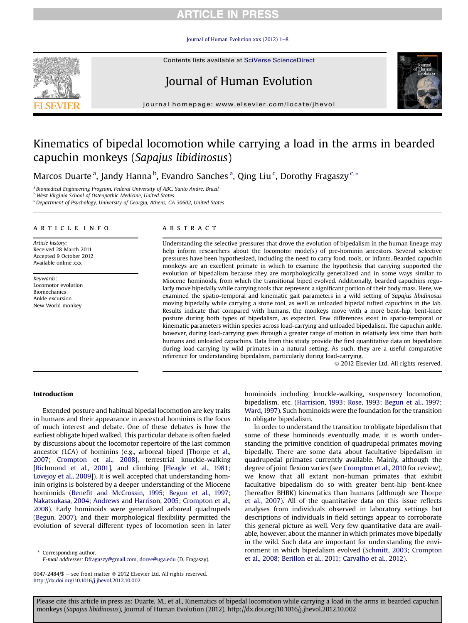Journal of Human Evolution xxx (2012)  $1-8$  $1-8$ 

Contents lists available at SciVerse ScienceDirect





journal homepage: [www.elsevier.com/locate/jhevol](http://www.elsevier.com/locate/jhevol)

# Kinematics of bipedal locomotion while carrying a load in the arms in bearded capuchin monkeys (Sapajus libidinosus)

Marcos Duarte<sup>a</sup>, Jandy Hanna<sup>b</sup>, Evandro Sanches<sup>a</sup>, Qing Liu<sup>c</sup>, Dorothy Fragaszy<sup>c,</sup>\*

<sup>a</sup> Biomedical Engineering Program, Federal University of ABC, Santo Andre, Brazil

<sup>b</sup> West Virginia School of Osteopathic Medicine, United States

<sup>c</sup> Department of Psychology, University of Georgia, Athens, GA 30602, United States

#### article info

Article history: Received 28 March 2011 Accepted 9 October 2012 Available online xxx

Keywords: Locomotor evolution Biomechanics Ankle excursion New World monkey

#### **ABSTRACT**

Understanding the selective pressures that drove the evolution of bipedalism in the human lineage may help inform researchers about the locomotor mode(s) of pre-hominin ancestors. Several selective pressures have been hypothesized, including the need to carry food, tools, or infants. Bearded capuchin monkeys are an excellent primate in which to examine the hypothesis that carrying supported the evolution of bipedalism because they are morphologically generalized and in some ways similar to Miocene hominoids, from which the transitional biped evolved. Additionally, bearded capuchins regularly move bipedally while carrying tools that represent a significant portion of their body mass. Here, we examined the spatio-temporal and kinematic gait parameters in a wild setting of Sapajus libidinosus moving bipedally while carrying a stone tool, as well as unloaded bipedal tufted capuchins in the lab. Results indicate that compared with humans, the monkeys move with a more bent-hip, bent-knee posture during both types of bipedalism, as expected. Few differences exist in spatio-temporal or kinematic parameters within species across load-carrying and unloaded bipedalism. The capuchin ankle, however, during load-carrying goes through a greater range of motion in relatively less time than both humans and unloaded capuchins. Data from this study provide the first quantitative data on bipedalism during load-carrying by wild primates in a natural setting. As such, they are a useful comparative reference for understanding bipedalism, particularly during load-carrying.

2012 Elsevier Ltd. All rights reserved.

### Introduction

Extended posture and habitual bipedal locomotion are key traits in humans and their appearance in ancestral hominins is the focus of much interest and debate. One of these debates is how the earliest obligate biped walked. This particular debate is often fueled by discussions about the locomotor repertoire of the last common ancestor (LCA) of hominins (e.g., arboreal biped [[Thorpe et al.,](#page-7-0) [2007;](#page-7-0) [Crompton et al., 2008](#page-6-0)], terrestrial knuckle-walking [\[Richmond et al., 2001\]](#page-7-0), and climbing [\[Fleagle et al., 1981;](#page-6-0) [Lovejoy et al., 2009\]](#page-7-0)). It is well accepted that understanding hominin origins is bolstered by a deeper understanding of the Miocene hominoids (Benefi[t and McCrossin, 1995](#page-6-0); [Begun et al., 1997;](#page-6-0) [Nakatsukasa, 2004](#page-7-0); [Andrews and Harrison, 2005;](#page-6-0) [Crompton et al.,](#page-6-0) [2008\)](#page-6-0). Early hominoids were generalized arboreal quadrupeds ([Begun, 2007\)](#page-6-0), and their morphological flexibility permitted the evolution of several different types of locomotion seen in later

Corresponding author. E-mail addresses: [Dfragaszy@gmail.com,](mailto:Dfragaszy@gmail.com) [doree@uga.edu](mailto:doree@uga.edu) (D. Fragaszy). hominoids including knuckle-walking, suspensory locomotion, bipedalism, etc. [\(Harrision, 1993;](#page-6-0) [Rose, 1993;](#page-7-0) [Begun et al., 1997;](#page-6-0) [Ward, 1997](#page-7-0)). Such hominoids were the foundation for the transition to obligate bipedalism.

In order to understand the transition to obligate bipedalism that some of these hominoids eventually made, it is worth understanding the primitive condition of quadrupedal primates moving bipedally. There are some data about facultative bipedalism in quadrupedal primates currently available. Mainly, although the degree of joint flexion varies (see [Crompton et al., 2010](#page-6-0) for review), we know that all extant non-human primates that exhibit facultative bipedalism do so with greater bent-hip-bent-knee (hereafter BHBK) kinematics than humans (although see [Thorpe](#page-7-0) [et al., 2007\)](#page-7-0). All of the quantitative data on this issue reflects analyses from individuals observed in laboratory settings but descriptions of individuals in field settings appear to corroborate this general picture as well. Very few quantitative data are available, however, about the manner in which primates move bipedally in the wild. Such data are important for understanding the environment in which bipedalism evolved [\(Schmitt, 2003;](#page-7-0) [Crompton](#page-6-0) [et al., 2008](#page-6-0); [Berillon et al., 2011](#page-6-0); [Carvalho et al., 2012](#page-6-0)).

<sup>0047-2484/\$ -</sup> see front matter  $\odot$  2012 Elsevier Ltd. All rights reserved. <http://dx.doi.org/10.1016/j.jhevol.2012.10.002>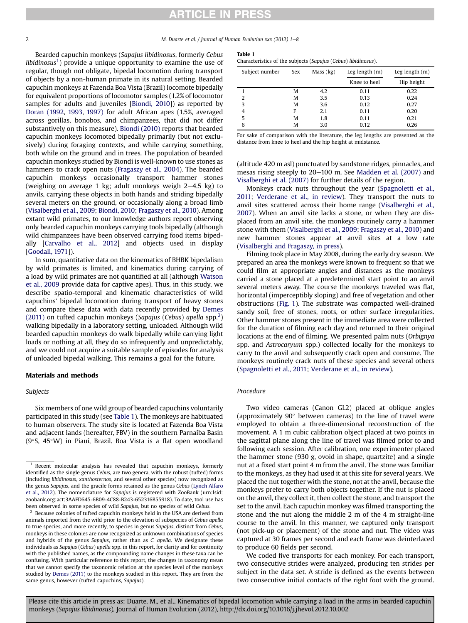2 M. Duarte et al. / Journal of Human Evolution xxx (2012) 1-8

Bearded capuchin monkeys (Sapajus libidinosus, formerly Cebus *libidinosus*<sup>1</sup>) provide a unique opportunity to examine the use of regular, though not obligate, bipedal locomotion during transport of objects by a non-human primate in its natural setting. Bearded capuchin monkeys at Fazenda Boa Vista (Brazil) locomote bipedally for equivalent proportions of locomotor samples (1.2% of locomotor samples for adults and juveniles [\[Biondi, 2010](#page-6-0)]) as reported by [Doran \(1992](#page-6-0), [1993,](#page-6-0) [1997\)](#page-6-0) for adult African apes (1.5%, averaged across gorillas, bonobos, and chimpanzees, that did not differ substantively on this measure). [Biondi \(2010\)](#page-6-0) reports that bearded capuchin monkeys locomoted bipedally primarily (but not exclusively) during foraging contexts, and while carrying something, both while on the ground and in trees. The population of bearded capuchin monkeys studied by Biondi is well-known to use stones as hammers to crack open nuts ([Fragaszy et al., 2004](#page-6-0)). The bearded capuchin monkeys occasionally transport hammer stones (weighing on average 1 kg; adult monkeys weigh  $2-4.5$  kg) to anvils, carrying these objects in both hands and striding bipedally several meters on the ground, or occasionally along a broad limb ([Visalberghi et al., 2009;](#page-7-0) [Biondi, 2010;](#page-6-0) [Fragaszy et al., 2010\)](#page-6-0). Among extant wild primates, to our knowledge authors report observing only bearded capuchin monkeys carrying tools bipedally (although wild chimpanzees have been observed carrying food items bipedally [[Carvalho et al., 2012](#page-6-0)] and objects used in display [[Goodall, 1971\]](#page-6-0)).

In sum, quantitative data on the kinematics of BHBK bipedalism by wild primates is limited, and kinematics during carrying of a load by wild primates are not quantified at all (although [Watson](#page-7-0) [et al., 2009](#page-7-0) provide data for captive apes). Thus, in this study, we describe spatio-temporal and kinematic characteristics of wild capuchins' bipedal locomotion during transport of heavy stones and compare these data with data recently provided by [Demes](#page-6-0) [\(2011\)](#page-6-0) on tufted capuchin monkeys (Sapajus (Cebus) apella spp.<sup>2</sup>) walking bipedally in a laboratory setting, unloaded. Although wild bearded capuchin monkeys do walk bipedally while carrying light loads or nothing at all, they do so infrequently and unpredictably, and we could not acquire a suitable sample of episodes for analysis of unloaded bipedal walking. This remains a goal for the future.

### Materials and methods

### Subjects

Six members of one wild group of bearded capuchins voluntarily participated in this study (see Table 1). The monkeys are habituated to human observers. The study site is located at Fazenda Boa Vista and adjacent lands (hereafter, FBV) in the southern Parnaíba Basin  $(9°S, 45°W)$  in Piauí, Brazil. Boa Vista is a flat open woodland

| ---- |  |
|------|--|
|      |  |

Characteristics of the subjects (Sapajus (Cebus) libidinosus).

| Subject number | Sex | Mass (kg) | Leg length $(m)$ | Leg length $(m)$ |
|----------------|-----|-----------|------------------|------------------|
|                |     |           | Knee to heel     | Hip height       |
|                | M   | 4.2       | 0.11             | 0.22             |
| 2              | M   | 3.5       | 0.13             | 0.24             |
| 3              | M   | 3.6       | 0.12             | 0.27             |
| 4              | F   | 2.1       | 0.11             | 0.20             |
| 5              | M   | 1.8       | 0.11             | 0.21             |
| 6              | M   | 3.0       | 0.12             | 0.26             |
|                |     |           |                  |                  |

For sake of comparison with the literature, the leg lengths are presented as the distance from knee to heel and the hip height at midstance.

(altitude 420 m asl) punctuated by sandstone ridges, pinnacles, and mesas rising steeply to  $20-100$  m. See [Madden et al. \(2007\)](#page-7-0) and [Visalberghi et al. \(2007\)](#page-7-0) for further details of the region.

Monkeys crack nuts throughout the year ([Spagnoletti et al.,](#page-7-0) [2011;](#page-7-0) [Verderane et al., in review](#page-7-0)). They transport the nuts to anvil sites scattered across their home range [\(Visalberghi et al.,](#page-7-0) [2007\)](#page-7-0). When an anvil site lacks a stone, or when they are displaced from an anvil site, the monkeys routinely carry a hammer stone with them ([Visalberghi et al., 2009](#page-7-0); [Fragaszy et al., 2010\)](#page-6-0) and new hammer stones appear at anvil sites at a low rate ([Visalberghi and Fragaszy, in press](#page-7-0)).

Filming took place in May 2008, during the early dry season. We prepared an area the monkeys were known to frequent so that we could film at appropriate angles and distances as the monkeys carried a stone placed at a predetermined start point to an anvil several meters away. The course the monkeys traveled was flat, horizontal (imperceptibly sloping) and free of vegetation and other obstructions [\(Fig. 1](#page-2-0)). The substrate was compacted well-drained sandy soil, free of stones, roots, or other surface irregularities. Other hammer stones present in the immediate area were collected for the duration of filming each day and returned to their original locations at the end of filming. We presented palm nuts (Orbignya spp. and Astrocaryum spp.) collected locally for the monkeys to carry to the anvil and subsequently crack open and consume. The monkeys routinely crack nuts of these species and several others ([Spagnoletti et al., 2011;](#page-7-0) [Verderane et al., in review\)](#page-7-0).

### Procedure

Two video cameras (Canon GL2) placed at oblique angles (approximately  $90^\circ$  between cameras) to the line of travel were employed to obtain a three-dimensional reconstruction of the movement. A 1 m cubic calibration object placed at two points in the sagittal plane along the line of travel was filmed prior to and following each session. After calibration, one experimenter placed the hammer stone (930 g, ovoid in shape, quartzite) and a single nut at a fixed start point 4 m from the anvil. The stone was familiar to the monkeys, as they had used it at this site for several years. We placed the nut together with the stone, not at the anvil, because the monkeys prefer to carry both objects together. If the nut is placed on the anvil, they collect it, then collect the stone, and transport the set to the anvil. Each capuchin monkey was filmed transporting the stone and the nut along the middle 2 m of the 4 m straight-line course to the anvil. In this manner, we captured only transport (not pick-up or placement) of the stone and nut. The video was captured at 30 frames per second and each frame was deinterlaced to produce 60 fields per second.

We coded five transports for each monkey. For each transport, two consecutive strides were analyzed, producing ten strides per subject in the data set. A stride is defined as the events between two consecutive initial contacts of the right foot with the ground.

 $1$  Recent molecular analysis has revealed that capuchin monkeys, formerly identified as the single genus Cebus, are two genera, with the robust (tufted) forms (including libidinosus, xanthosternos, and several other species) now recognized as the genus Sapajus, and the gracile forms retained as the genus Cebus ([Lynch Alfaro](#page-7-0) [et al., 2012](#page-7-0)). The nomenclature for Sapajus is registered with ZooBank (urn:lsid: zoobank.org:act:3AAFD645-6B09-4C88-B243-652316B55918). To date, tool use has been observed in some species of wild Sapajus, but no species of wild Cebus.

 $2$  Because colonies of tufted capuchin monkeys held in the USA are derived from animals imported from the wild prior to the elevation of subspecies of Cebus apella to true species, and more recently, to species in genus Sapajus, distinct from Cebus, monkeys in these colonies are now recognized as unknown combinations of species and hybrids of the genus Sapajus, rather than as C. apella. We designate these individuals as Sapajus (Cebus) apella spp. in this report, for clarity and for continuity with the published names, as the compounding name changes in these taxa can be confusing. With particular reference to this report, the changes in taxonomy mean that we cannot specify the taxonomic relation at the species level of the monkeys studied by [Demes \(2011\)](#page-6-0) to the monkeys studied in this report. They are from the same genus, however (tufted capuchins, Sapajus).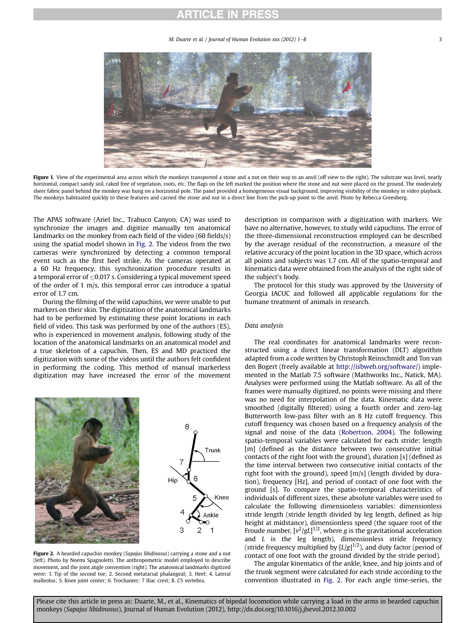M. Duarte et al. / Journal of Human Evolution  $xxx$  (2012)  $1-8$  3

<span id="page-2-0"></span>

Figure 1. View of the experimental area across which the monkeys transported a stone and a nut on their way to an anvil (off view to the right). The substrate was level, nearly horizontal, compact sandy soil, raked free of vegetation, roots, etc. The flags on the left marked the position where the stone and nut were placed on the ground. The moderately sheer fabric panel behind the monkey was hung on a horizontal pole. The panel provided a homogeneous visual background, improving visibility of the monkey in video playback. The monkeys habituated quickly to these features and carried the stone and nut in a direct line from the pick-up point to the anvil. Photo by Rebecca Greenberg.

The APAS software (Ariel Inc., Trabuco Canyon, CA) was used to synchronize the images and digitize manually ten anatomical landmarks on the monkey from each field of the video (60 fields/s) using the spatial model shown in Fig. 2. The videos from the two cameras were synchronized by detecting a common temporal event such as the first heel strike. As the cameras operated at a 60 Hz frequency, this synchronization procedure results in a temporal error of  $\leq$ 0.017 s. Considering a typical movement speed of the order of 1 m/s, this temporal error can introduce a spatial error of 1.7 cm.

During the filming of the wild capuchins, we were unable to put markers on their skin. The digitization of the anatomical landmarks had to be performed by estimating these point locations in each field of video. This task was performed by one of the authors (ES), who is experienced in movement analysis, following study of the location of the anatomical landmarks on an anatomical model and a true skeleton of a capuchin. Then, ES and MD practiced the digitization with some of the videos until the authors felt confident in performing the coding. This method of manual markerless digitization may have increased the error of the movement



Figure 2. A bearded capuchin monkey (Sapajus libidinosus) carrying a stone and a nut (left). Photo by Noemi Spagnoletti. The anthropometric model employed to describe movement, and the joint angle convention (right). The anatomical landmarks digitized were: 1. Tip of the second toe; 2. Second metatarsal phalangeal; 3. Heel; 4. Lateral malleolus; 5. Knee joint center; 6. Trochanter; 7 Iliac crest; 8. C5 vertebra.

description in comparison with a digitization with markers. We have no alternative, however, to study wild capuchins. The error of the three-dimensional reconstruction employed can be described by the average residual of the reconstruction, a measure of the relative accuracy of the point location in the 3D space, which across all points and subjects was 1.7 cm. All of the spatio-temporal and kinematics data were obtained from the analysis of the right side of the subject's body.

The protocol for this study was approved by the University of Georgia IACUC and followed all applicable regulations for the humane treatment of animals in research.

### Data analysis

The real coordinates for anatomical landmarks were reconstructed using a direct linear transformation (DLT) algorithm adapted from a code written by Christoph Reinschmidt and Ton van den Bogert (freely available at [http://isbweb.org/software/\)](http://isbweb.org/software/) implemented in the Matlab 7.5 software (Mathworks Inc., Natick, MA). Analyses were performed using the Matlab software. As all of the frames were manually digitized, no points were missing and there was no need for interpolation of the data. Kinematic data were smoothed (digitally filtered) using a fourth order and zero-lag Butterworth low-pass filter with an 8 Hz cutoff frequency. This cutoff frequency was chosen based on a frequency analysis of the signal and noise of the data ([Robertson, 2004\)](#page-7-0). The following spatio-temporal variables were calculated for each stride: length [m] (defined as the distance between two consecutive initial contacts of the right foot with the ground), duration [s] (defined as the time interval between two consecutive initial contacts of the right foot with the ground), speed [m/s] (length divided by duration), frequency [Hz], and period of contact of one foot with the ground [s]. To compare the spatio-temporal characteristics of individuals of different sizes, these absolute variables were used to calculate the following dimensionless variables: dimensionless stride length (stride length divided by leg length, defined as hip height at midstance), dimensionless speed (the square root of the Froude number,  $[v^2/gL]^{1/2}$ , where g is the gravitational acceleration and  $L$  is the leg length), dimensionless stride frequency (stride frequency multiplied by  $[L/g]^{1/2}$ ), and duty factor (period of contact of one foot with the ground divided by the stride period).

The angular kinematics of the ankle, knee, and hip joints and of the trunk segment were calculated for each stride according to the convention illustrated in Fig. 2. For each angle time-series, the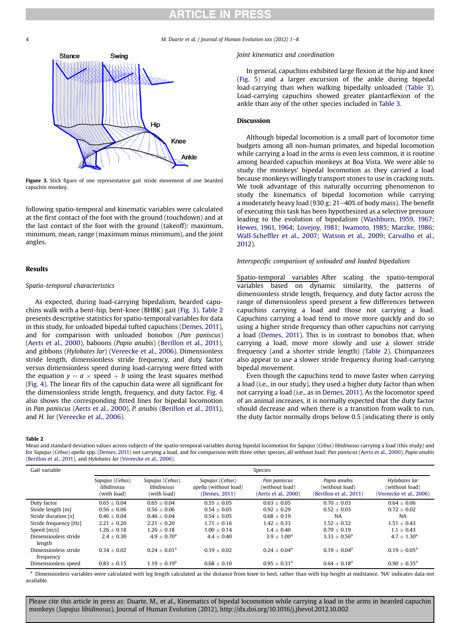M. Duarte et al. / Journal of Human Evolution xxx (2012)  $1-8$ 

<span id="page-3-0"></span>

Figure 3. Stick figure of one representative gait stride movement of one bearded capuchin monkey.

following spatio-temporal and kinematic variables were calculated at the first contact of the foot with the ground (touchdown) and at the last contact of the foot with the ground (takeoff): maximum, minimum, mean, range (maximum minus minimum), and the joint angles.

#### Results

#### Spatio-temporal characteristics

As expected, during load-carrying bipedalism, bearded capuchins walk with a bent-hip, bent-knee (BHBK) gait (Fig. 3). Table 2 presents descriptive statistics for spatio-temporal variables for data in this study, for unloaded bipedal tufted capuchins [\(Demes, 2011\)](#page-6-0), and for comparison with unloaded bonobos (Pan paniscus) ([Aerts et al., 2000](#page-6-0)), baboons (Papio anubis) [\(Berillon et al., 2011\)](#page-6-0), and gibbons (Hylobates lar) [\(Vereecke et al., 2006](#page-7-0)). Dimensionless stride length, dimensionless stride frequency, and duty factor versus dimensionless speed during load-carrying were fitted with the equation  $y = a \times speed + b$  using the least squares method ([Fig. 4](#page-4-0)). The linear fits of the capuchin data were all significant for the dimensionless stride length, frequency, and duty factor. [Fig. 4](#page-4-0) also shows the corresponding fitted lines for bipedal locomotion in Pan paniscus ([Aerts et al., 2000\)](#page-6-0), P. anubis ([Berillon et al., 2011\)](#page-6-0), and H. lar [\(Vereecke et al., 2006\)](#page-7-0).

#### Joint kinematics and coordination

In general, capuchins exhibited large flexion at the hip and knee ([Fig. 5](#page-5-0)) and a larger excursion of the ankle during bipedal load-carrying than when walking bipedally unloaded [\(Table 3\)](#page-6-0). Load-carrying capuchins showed greater plantarflexion of the ankle than any of the other species included in [Table 3](#page-6-0).

### Discussion

Although bipedal locomotion is a small part of locomotor time budgets among all non-human primates, and bipedal locomotion while carrying a load in the arms is even less common, it is routine among bearded capuchin monkeys at Boa Vista. We were able to study the monkeys' bipedal locomotion as they carried a load because monkeys willingly transport stones to use in cracking nuts. We took advantage of this naturally occurring phenomenon to study the kinematics of bipedal locomotion while carrying a moderately heavy load (930 g;  $21-40%$  of body mass). The benefit of executing this task has been hypothesized as a selective pressure leading to the evolution of bipedalism ([Washburn, 1959](#page-7-0), [1967](#page-7-0); [Hewes, 1961,](#page-6-0) [1964](#page-6-0); [Lovejoy, 1981](#page-7-0); [Iwamoto, 1985;](#page-7-0) [Marzke, 1986](#page-7-0); Wall-Scheffl[er et al., 2007;](#page-7-0) [Watson et al., 2009;](#page-7-0) [Carvalho et al.,](#page-6-0) [2012](#page-6-0)).

### Interspecific comparison of unloaded and loaded bipedalism

Spatio-temporal variables After scaling the spatio-temporal variables based on dynamic similarity, the patterns of dimensionless stride length, frequency, and duty factor across the range of dimensionless speed present a few differences between capuchins carrying a load and those not carrying a load. Capuchins carrying a load tend to move more quickly and do so using a higher stride frequency than other capuchins not carrying a load [\(Demes, 2011](#page-6-0)). This is in contrast to bonobos that, when carrying a load, move more slowly and use a slower stride frequency (and a shorter stride length) (Table 2). Chimpanzees also appear to use a slower stride frequency during load-carrying bipedal movement.

Even though the capuchins tend to move faster when carrying a load (i.e., in our study), they used a higher duty factor than when not carrying a load (i.e., as in [Demes, 2011\)](#page-6-0). As the locomotor speed of an animal increases, it is normally expected that the duty factor should decrease and when there is a transition from walk to run, the duty factor normally drops below 0.5 (indicating there is only

#### Table 2

Mean and standard deviation values across subjects of the spatio-temporal variables during bipedal locomotion for Sapajus (Cebus) libidinosus carrying a load (this study) and for Sapajus (Cebus) apella spp. ([Demes, 2011\)](#page-6-0) not carrying a load, and for comparison with three other species, all without load: Pan paniscus [\(Aerts et al., 2000](#page-6-0)), Papio anubis [\(Berillon et al., 2011](#page-6-0)), and Hylobates lar [\(Vereecke et al., 2006\)](#page-7-0).

| Gait variable                     | Species                                       |                                               |                                                                  |                                                        |                                                           |                                                            |
|-----------------------------------|-----------------------------------------------|-----------------------------------------------|------------------------------------------------------------------|--------------------------------------------------------|-----------------------------------------------------------|------------------------------------------------------------|
|                                   | Sapajus (Cebus)<br>libidinosus<br>(with load) | Sapajus (Cebus)<br>libidinosus<br>(with load) | Sapajus (Cebus)<br><i>apella</i> (without load)<br>(Demes. 2011) | Pan paniscus<br>(without load)<br>(Aerts et al., 2000) | Papio anubis<br>(without load)<br>(Berillon et al., 2011) | Hylobates lar<br>(without load)<br>(Vereecke et al., 2006) |
| Duty factor                       | $0.65 + 0.04$                                 | $0.65 + 0.04$                                 | $0.55 + 0.05$                                                    | $0.63 + 0.05$                                          | $0.70 + 0.03$                                             | $0.64 + 0.06$                                              |
| Stride length [m]                 | $0.56 \pm 0.06$                               | $0.56 \pm 0.06$                               | $0.54 \pm 0.05$                                                  | $0.92 \pm 0.29$                                        | $0.52 \pm 0.03$                                           | $0.72 \pm 0.02$                                            |
| Stride duration [s]               | $0.46 + 0.04$                                 | $0.46 + 0.04$                                 | $0.54 + 0.05$                                                    | $0.68 + 0.19$                                          | <b>NA</b>                                                 | <b>NA</b>                                                  |
| Stride frequency [Hz]             | $2.21 + 0.20$                                 | $2.21 + 0.20$                                 | $1.71 + 0.16$                                                    | $1.42 + 0.33$                                          | $1.52 + 0.32$                                             | $1.51 \pm 0.43$                                            |
| Speed [m/s]                       | $1.26 + 0.18$                                 | $1.26 + 0.18$                                 | $1.00 + 0.14$                                                    | $1.4 + 0.40$                                           | $0.79 + 0.19$                                             | $1.1 + 0.43$                                               |
| Dimensionless stride<br>length    | $2.4 + 0.30$                                  | $4.9 + 0.70a$                                 | $4.4 \pm 0.40$                                                   | $3.9 + 1.00^a$                                         | $3.33 + 0.56^a$                                           | $4.7 \pm 1.30^a$                                           |
| Dimensionless stride<br>frequency | $0.34 + 0.02$                                 | $0.24 + 0.01a$                                | $0.19 + 0.02$                                                    | $0.24 + 0.04^a$                                        | $0.19 + 0.04^a$                                           | $0.19 + 0.05^{\circ}$                                      |
| Dimensionless speed               | $0.83 \pm 0.15$                               | $1.19 \pm 0.19^{\rm a}$                       | $0.68 \pm 0.10$                                                  | $0.95 \pm 0.31^a$                                      | $0.64 + 0.18a$                                            | $0.90 \pm 0.35^{\rm a}$                                    |

a Dimensionless variables were calculated with leg length calculated as the distance from knee to heel, rather than with hip height at midstance. 'NA' indicates data not available.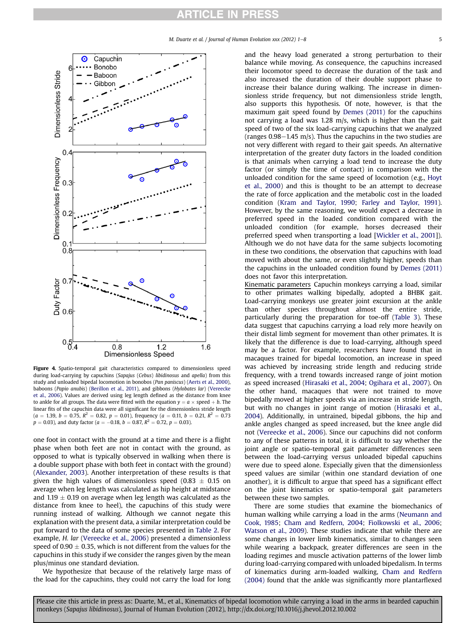<span id="page-4-0"></span>

Figure 4. Spatio-temporal gait characteristics compared to dimensionless speed during load-carrying by capuchins (Sapajus (Cebus) libidinosus and apella) from this study and unloaded bipedal locomotion in bonobos (Pan paniscus) [\(Aerts et al., 2000\)](#page-6-0), baboons (Papio anubis) ([Berillon et al., 2011](#page-6-0)), and gibbons (Hylobates lar) [\(Vereecke](#page-7-0) [et al., 2006](#page-7-0)). Values are derived using leg length defined as the distance from knee to ankle for all groups. The data were fitted with the equation  $y = a \times speed + b$ . The linear fits of the capuchin data were all significant for the dimensionless stride length  $(a = 1.39, b = 0.75, R<sup>2</sup> = 0.82, p = 0.01)$ , frequency  $(a = 0.11, b = 0.21, R<sup>2</sup> = 0.73)$  $p = 0.03$ ), and duty factor ( $a = -0.18$ ,  $b = 0.87$ ,  $R^2 = 0.72$ ,  $p = 0.03$ ).

one foot in contact with the ground at a time and there is a flight phase when both feet are not in contact with the ground, as opposed to what is typically observed in walking when there is a double support phase with both feet in contact with the ground) ([Alexander, 2003\)](#page-6-0). Another interpretation of these results is that given the high values of dimensionless speed (0.83  $\pm$  0.15 on average when leg length was calculated as hip height at midstance and 1.19  $\pm$  0.19 on average when leg length was calculated as the distance from knee to heel), the capuchins of this study were running instead of walking. Although we cannot negate this explanation with the present data, a similar interpretation could be put forward to the data of some species presented in [Table 2.](#page-3-0) For example, H. lar ([Vereecke et al., 2006](#page-7-0)) presented a dimensionless speed of 0.90  $\pm$  0.35, which is not different from the values for the capuchins in this study if we consider the ranges given by the mean plus/minus one standard deviation.

We hypothesize that because of the relatively large mass of the load for the capuchins, they could not carry the load for long

and the heavy load generated a strong perturbation to their balance while moving. As consequence, the capuchins increased their locomotor speed to decrease the duration of the task and also increased the duration of their double support phase to increase their balance during walking. The increase in dimensionless stride frequency, but not dimensionless stride length, also supports this hypothesis. Of note, however, is that the maximum gait speed found by [Demes \(2011\)](#page-6-0) for the capuchins not carrying a load was 1.28 m/s, which is higher than the gait speed of two of the six load-carrying capuchins that we analyzed (ranges  $0.98-1.45$  m/s). Thus the capuchins in the two studies are not very different with regard to their gait speeds. An alternative interpretation of the greater duty factors in the loaded condition is that animals when carrying a load tend to increase the duty factor (or simply the time of contact) in comparison with the unloaded condition for the same speed of locomotion (e.g., [Hoyt](#page-7-0) [et al., 2000](#page-7-0)) and this is thought to be an attempt to decrease the rate of force application and the metabolic cost in the loaded condition ([Kram and Taylor, 1990;](#page-7-0) [Farley and Taylor, 1991\)](#page-6-0). However, by the same reasoning, we would expect a decrease in preferred speed in the loaded condition compared with the unloaded condition (for example, horses decreased their preferred speed when transporting a load [\[Wickler et al., 2001\]](#page-7-0)). Although we do not have data for the same subjects locomoting in these two conditions, the observation that capuchins with load moved with about the same, or even slightly higher, speeds than the capuchins in the unloaded condition found by [Demes \(2011\)](#page-6-0) does not favor this interpretation.

Kinematic parameters Capuchin monkeys carrying a load, similar to other primates walking bipedally, adopted a BHBK gait. Load-carrying monkeys use greater joint excursion at the ankle than other species throughout almost the entire stride, particularly during the preparation for toe-off [\(Table 3](#page-6-0)). These data suggest that capuchins carrying a load rely more heavily on their distal limb segment for movement than other primates. It is likely that the difference is due to load-carrying, although speed may be a factor. For example, researchers have found that in macaques trained for bipedal locomotion, an increase in speed was achieved by increasing stride length and reducing stride frequency, with a trend towards increased range of joint motion as speed increased [\(Hirasaki et al., 2004](#page-7-0); [Ogihara et al., 2007](#page-7-0)). On the other hand, macaques that were not trained to move bipedally moved at higher speeds via an increase in stride length, but with no changes in joint range of motion [\(Hirasaki et al.,](#page-7-0) [2004\)](#page-7-0). Additionally, in untrained, bipedal gibbons, the hip and ankle angles changed as speed increased, but the knee angle did not [\(Vereecke et al., 2006](#page-7-0)). Since our capuchins did not conform to any of these patterns in total, it is difficult to say whether the joint angle or spatio-temporal gait parameter differences seen between the load-carrying versus unloaded bipedal capuchins were due to speed alone. Especially given that the dimensionless speed values are similar (within one standard deviation of one another), it is difficult to argue that speed has a significant effect on the joint kinematics or spatio-temporal gait parameters between these two samples.

There are some studies that examine the biomechanics of human walking while carrying a load in the arms ([Neumann and](#page-7-0) [Cook, 1985;](#page-7-0) [Cham and Redfern, 2004;](#page-6-0) [Fiolkowski et al., 2006;](#page-6-0) [Watson et al., 2009](#page-7-0)). These studies indicate that while there are some changes in lower limb kinematics, similar to changes seen while wearing a backpack, greater differences are seen in the loading regimes and muscle activation patterns of the lower limb during load-carrying compared with unloaded bipedalism. In terms of kinematics during arm-loaded walking, [Cham and Redfern](#page-6-0) [\(2004\)](#page-6-0) found that the ankle was significantly more plantarflexed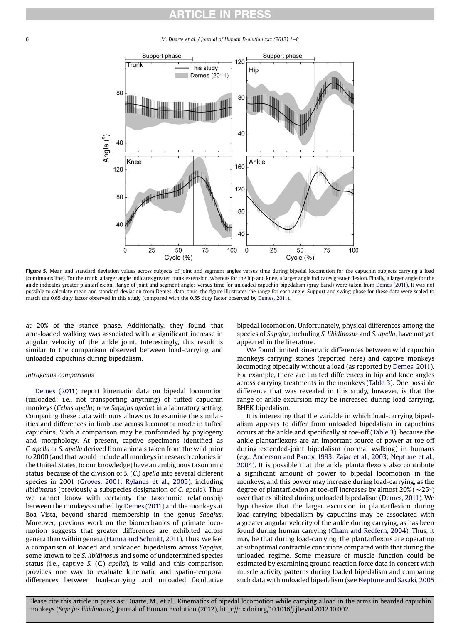<span id="page-5-0"></span>6 M. Duarte et al. / Journal of Human Evolution xxx (2012) 1-8



Figure 5. Mean and standard deviation values across subjects of joint and segment angles versus time during bipedal locomotion for the capuchin subjects carrying a load (continuous line). For the trunk, a larger angle indicates greater trunk extension, whereas for the hip and knee, a larger angle indicates greater flexion. Finally, a larger angle for the ankle indicates greater plantarflexion. Range of joint and segment angles versus time for unloaded capuchin bipedalism (gray band) were taken from [Demes \(2011\)](#page-6-0). It was not possible to calculate mean and standard deviation from Demes' data; thus, the figure illustrates the range for each angle. Support and swing phase for these data were scaled to match the 0.65 duty factor observed in this study (compared with the 0.55 duty factor observed by [Demes, 2011\)](#page-6-0).

at 20% of the stance phase. Additionally, they found that arm-loaded walking was associated with a significant increase in angular velocity of the ankle joint. Interestingly, this result is similar to the comparison observed between load-carrying and unloaded capuchins during bipedalism.

### Intragenus comparisons

[Demes \(2011\)](#page-6-0) report kinematic data on bipedal locomotion (unloaded; i.e., not transporting anything) of tufted capuchin monkeys (Cebus apella; now Sapajus apella) in a laboratory setting. Comparing these data with ours allows us to examine the similarities and differences in limb use across locomotor mode in tufted capuchins. Such a comparison may be confounded by phylogeny and morphology. At present, captive specimens identified as C. apella or S. apella derived from animals taken from the wild prior to 2000 (and that would include all monkeys in research colonies in the United States, to our knowledge) have an ambiguous taxonomic status, because of the division of S. (C.) apella into several different species in 2001 ([Groves, 2001;](#page-6-0) [Rylands et al., 2005](#page-7-0)), including libidinosus (previously a subspecies designation of C. apella). Thus we cannot know with certainty the taxonomic relationship between the monkeys studied by [Demes \(2011\)](#page-6-0) and the monkeys at Boa Vista, beyond shared membership in the genus Sapajus. Moreover, previous work on the biomechanics of primate locomotion suggests that greater differences are exhibited across genera than within genera ([Hanna and Schmitt, 2011\)](#page-6-0). Thus, we feel a comparison of loaded and unloaded bipedalism across Sapajus, some known to be S. libidinosus and some of undetermined species status (i.e., captive S. (C.) apella), is valid and this comparison provides one way to evaluate kinematic and spatio-temporal differences between load-carrying and unloaded facultative

bipedal locomotion. Unfortunately, physical differences among the species of Sapajus, including S. libidinosus and S. apella, have not yet appeared in the literature.

We found limited kinematic differences between wild capuchin monkeys carrying stones (reported here) and captive monkeys locomoting bipedally without a load (as reported by [Demes, 2011\)](#page-6-0). For example, there are limited differences in hip and knee angles across carrying treatments in the monkeys ([Table 3\)](#page-6-0). One possible difference that was revealed in this study, however, is that the range of ankle excursion may be increased during load-carrying, BHBK bipedalism.

It is interesting that the variable in which load-carrying bipedalism appears to differ from unloaded bipedalism in capuchins occurs at the ankle and specifically at toe-off ([Table 3](#page-6-0)), because the ankle plantarflexors are an important source of power at toe-off during extended-joint bipedalism (normal walking) in humans (e.g., [Anderson and Pandy, 1993;](#page-6-0) [Zajac et al., 2003](#page-7-0); [Neptune et al.,](#page-7-0) [2004](#page-7-0)). It is possible that the ankle plantarflexors also contribute a significant amount of power to bipedal locomotion in the monkeys, and this power may increase during load-carrying, as the degree of plantarflexion at toe-off increases by almost 20% ( $\sim$ 25°) over that exhibited during unloaded bipedalism ([Demes, 2011](#page-6-0)). We hypothesize that the larger excursion in plantarflexion during load-carrying bipedalism by capuchins may be associated with a greater angular velocity of the ankle during carrying, as has been found during human carrying ([Cham and Redfern, 2004\)](#page-6-0). Thus, it may be that during load-carrying, the plantarflexors are operating at suboptimal contractile conditions compared with that during the unloaded regime. Some measure of muscle function could be estimated by examining ground reaction force data in concert with muscle activity patterns during loaded bipedalism and comparing such data with unloaded bipedalism (see [Neptune and Sasaki, 2005](#page-7-0)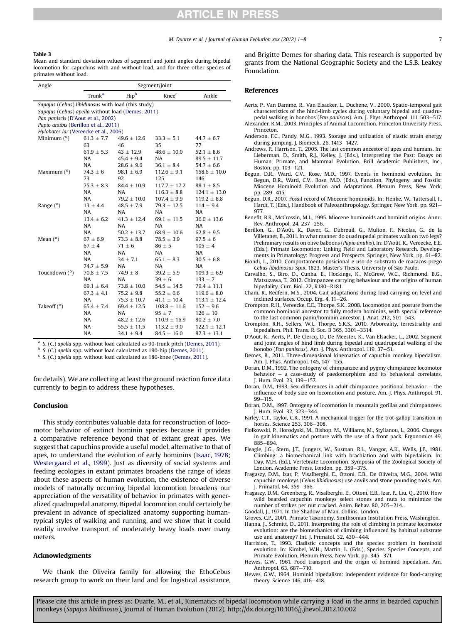#### <span id="page-6-0"></span>Table 3

Mean and standard deviation values of segment and joint angles during bipedal locomotion for capuchins with and without load, and for three other species of primates without load.

| Angle                                              | Segment/Joint                                   |                 |                  |                  |  |  |
|----------------------------------------------------|-------------------------------------------------|-----------------|------------------|------------------|--|--|
|                                                    | Hipb<br>Trunk <sup>a</sup><br>Knee <sup>c</sup> |                 | Ankle            |                  |  |  |
| Sapajus (Cebus) libidinosus with load (this study) |                                                 |                 |                  |                  |  |  |
| Sapajus (Cebus) apella without load (Demes, 2011)  |                                                 |                 |                  |                  |  |  |
| Pan paniscis (D'Aout et al., 2002)                 |                                                 |                 |                  |                  |  |  |
| Papio anubis (Berillon et al., 2011)               |                                                 |                 |                  |                  |  |  |
|                                                    | Hylobates lar (Vereecke et al., 2006)           |                 |                  |                  |  |  |
| Minimum $(°)$                                      | $61.3 \pm 7.7$                                  | $49.6 \pm 12.6$ | $33.3 \pm 5.1$   | $44.7 \pm 6.7$   |  |  |
|                                                    | 63                                              | 46              | 35               | 77               |  |  |
|                                                    | $61.9 \pm 5.3$                                  | $43 \pm 12.9$   | $48.6 \pm 10.0$  | $52.1 \pm 8.6$   |  |  |
|                                                    | <b>NA</b>                                       | $45.4 + 9.4$    | <b>NA</b>        | $89.5 \pm 11.7$  |  |  |
|                                                    | NA                                              | $28.6 \pm 9.6$  | $36.1 \pm 8.4$   | $54.7 \pm 6.6$   |  |  |
| Maximum $(°)$                                      | $74.3 \pm 6$                                    | $98.1 \pm 6.9$  | $112.6 \pm 9.1$  | $158.6 \pm 10.0$ |  |  |
|                                                    | 73                                              | 92              | 125              | 146              |  |  |
|                                                    | $75.3 \pm 8.3$                                  | $84.4 \pm 10.9$ | $117.7 \pm 17.2$ | $88.1 \pm 8.5$   |  |  |
|                                                    | <b>NA</b>                                       | <b>NA</b>       | $116.3 \pm 8.8$  | $124.1 \pm 13.0$ |  |  |
|                                                    | <b>NA</b>                                       | $79.2 \pm 10.0$ | $107.4 \pm 9.9$  | $119.2 \pm 8.8$  |  |  |
| Range $(°)$                                        | $13 \pm 4.4$                                    | $48.5 \pm 7.9$  | $79.3 \pm 12.5$  | $114 \pm 9.4$    |  |  |
|                                                    | <b>NA</b>                                       | NA              | NA               | NA               |  |  |
|                                                    | $13.4 \pm 6.2$                                  | $41.3 \pm 12.4$ | $69.1 \pm 11.5$  | $36.0 \pm 13.6$  |  |  |
|                                                    | <b>NA</b>                                       | NA              | NA               | NA               |  |  |
|                                                    | <b>NA</b>                                       | $50.2 \pm 13.7$ | $68.9 \pm 10.6$  | $62.8 \pm 9.5$   |  |  |
| Mean $(°)$                                         | $67 + 6.9$                                      | $73.3 \pm 8.8$  | $78.5 \pm 3.9$   | $97.5 \pm 6$     |  |  |
|                                                    | $67 + 4$                                        | $71 + 6$        | $86 + 5$         | $105 + 4$        |  |  |
|                                                    | <b>NA</b>                                       | <b>NA</b>       | NA               | <b>NA</b>        |  |  |
|                                                    | NA                                              | $34 \pm 7.1$    | $65.1 \pm 8.3$   | $30.5 \pm 6.8$   |  |  |
|                                                    | $74.7 \pm 5.9$                                  | <b>NA</b>       | NA               | NA               |  |  |
| Touchdown (°)                                      | $70.8 \pm 7.5$                                  | $74.9 \pm 8$    | $39.2 \pm 5.9$   | $109.3 \pm 6.9$  |  |  |
|                                                    | NA                                              | <b>NA</b>       | $39 \pm 6$       | $133 \pm 7$      |  |  |
|                                                    | $69.1 \pm 6.4$                                  | $73.8 \pm 10.0$ | $54.5 \pm 14.5$  | $79.4 \pm 11.1$  |  |  |
|                                                    | $67.3 \pm 4.1$                                  | $75.2 \pm 9.8$  | $55.2 \pm 6.6$   | $119.6 \pm 8.0$  |  |  |
|                                                    | NA                                              | $75.3 \pm 10.7$ | $41.1 \pm 10.4$  | $113.1 \pm 12.4$ |  |  |
| Takeoff (°)                                        | $65.4 \pm 7.4$                                  | $69.4 \pm 12.5$ | $108.8 \pm 11.6$ | $152 \pm 9.6$    |  |  |
|                                                    | <b>NA</b>                                       | NA              | $95 \pm 7$       | $126 \pm 10$     |  |  |
|                                                    | NA                                              | $48.2 \pm 12.6$ | $110.9 \pm 16.9$ | $80.2 \pm 7.0$   |  |  |
|                                                    | NA                                              | $55.5 \pm 11.5$ | $113.2 \pm 9.0$  | $122.1 \pm 12.1$ |  |  |
|                                                    | NA                                              | $34.1 \pm 9.4$  | $84.5 \pm 16.0$  | $87.3 \pm 13.1$  |  |  |
|                                                    |                                                 |                 |                  |                  |  |  |

<sup>a</sup> S. (C.) apella spp. without load calculated as 90-trunk pitch (Demes, 2011).

<sup>b</sup> S. (C.) apella spp. without load calculated as 180-hip (Demes, 2011).

 $c$  S. (C.) apella spp. without load calculated as 180-knee (Demes, 2011).

for details). We are collecting at least the ground reaction force data currently to begin to address these hypotheses.

#### Conclusion

This study contributes valuable data for reconstruction of locomotor behavior of extinct hominin species because it provides a comparative reference beyond that of extant great apes. We suggest that capuchins provide a useful model, alternative to that of apes, to understand the evolution of early hominins ([Isaac, 1978;](#page-7-0) [Westergaard et al., 1999\)](#page-7-0). Just as diversity of social systems and feeding ecologies in extant primates broadens the range of ideas about these aspects of human evolution, the existence of diverse models of naturally occurring bipedal locomotion broadens our appreciation of the versatility of behavior in primates with generalized quadrupedal anatomy. Bipedal locomotion could certainly be prevalent in advance of specialized anatomy supporting humantypical styles of walking and running, and we show that it could readily involve transport of moderately heavy loads over many meters.

### Acknowledgments

We thank the Oliveira family for allowing the EthoCebus research group to work on their land and for logistical assistance, and Brigitte Demes for sharing data. This research is supported by grants from the National Geographic Society and the L.S.B. Leakey Foundation.

#### References

- Aerts, P., Van Damme, R., Van Elsacker, L., Duchene, V., 2000. Spatio-temporal gait characteristics of the hind-limb cycles during voluntary bipedal and quadru-
- pedal walking in bonobos (Pan paniscus). Am. J. Phys. Anthropol. 111, 503-517. Alexander, R.M., 2003. Principles of Animal Locomotion. Princeton University Press, Princeton.
- Anderson, F.C., Pandy, M.G., 1993. Storage and utilization of elastic strain energy during jumping. J. Biomech. 26, 1413-1427.
- Andrews, P., Harrison, T., 2005. The last common ancestor of apes and humans. In: Lieberman, D., Smith, R.J., Kelley, J. (Eds.), Interpreting the Past: Essays on Human, Primate, and Mammal Evolution. Brill Academic Publishers, Inc., Boston, pp. 103-121.
- Begun, D.R., Ward, C.V., Rose, M.D., 1997. Events in hominoid evolution. In: Begun, D.R., Ward, C.V., Rose, M.D. (Eds.), Function, Phylogeny, and Fossils: Miocene Hominoid Evolution and Adaptations. Plenum Press, New York, pp. 289-415.
- Begun, D.R., 2007. Fossil record of Miocene hominoids. In: Henke, W., Tattersall, I., Hardt, T. (Eds.), Handbook of Paleoanthropology. Springer, New York, pp. 921-977.
- Benefit, B.R., McCrossin, M.L., 1995. Miocene hominoids and hominid origins. Annu. Rev. Anthropol. 24, 237-256.
- Berillon, G., D'Août, K., Daver, G., Dubreuil, G., Multon, F., Nicolas, G., de la Villetanet, B., 2011. In what manner do quadrupedal primates walk on two legs? Preliminary results on olive baboons (Papio anubis). In: D'Août, K., Vereecke, E.E. (Eds.), Primate Locomotion: Linking Field and Laboratory Research. Developments in Primatology: Progress and Prospects. Springer, New York, pp. 61–82. Biondi, L., 2010. Comportamento posicional e uso de substrato de macacos-prego
- Cebus libidinosus Spix, 1823. Master's Thesis, University of São Paulo.
- Carvalho, S., Biro, D., Cunha, E., Hockings, K., McGrew, W.C., Richmond, B.G., Matsuzawa, T., 2012. Chimpanzee carrying behaviour and the origins of human bipedality. Curr. Biol. 22,  $\overline{R}$ 180-R181.
- Cham, R., Redfern, M.S., 2004. Gait adaptations during load carrying on level and inclined surfaces. Occup. Erg.  $4.11-26$ .
- Crompton, R.H., Vereecke, E.E., Thorpe, S.K., 2008. Locomotion and posture from the common hominoid ancestor to fully modern hominins, with special reference to the last common panin/hominin ancestor. J. Anat. 212,  $501 - 543$ .
- Crompton, R.H., Sellers, W.I., Thorpe, S.K.S., 2010. Arboreality, terrestriality and bipedalism. Phil. Trans. R. Soc. B 365, 3301-3314.
- D'Aout, K., Aerts, P., De Clercq, D., De Meester, K., Van Elsacker, L., 2002. Segment and joint angles of hind limb during bipedal and quadrupedal walking of the bonobo (Pan paniscus). Am. J. Phys. Anthropol. 119, 37-51.
- Demes, B., 2011. Three-dimensional kinematics of capuchin monkey bipedalism. Am. I. Phys. Anthropol. 145, 147-155.
- Doran, D.M., 1992. The ontogeny of chimpanzee and pygmy chimpanzee locomotor behavior  $-$  a case-study of paedomorphism and its behavioral correlates. I. Hum. Evol. 23, 139-157.
- Doran, D.M., 1993. Sex-differences in adult chimpanzee positional behavior  $-$  the influence of body size on locomotion and posture. Am. J. Phys. Anthropol. 91,  $99 - 115.$
- Doran, D.M., 1997. Ontogeny of locomotion in mountain gorillas and chimpanzees. I. Hum. Evol. 32, 323–344.
- Farley, C.T., Taylor, C.R., 1991. A mechanical trigger for the trot-gallop transition in horses. Science 253, 306-308.
- Fiolkowski, P., Horodyski, M., Bishop, M., Williams, M., Stylianou, L., 2006. Changes in gait kinematics and posture with the use of a front pack. Ergonomics 49, 885-894.
- Fleagle, J.G., Stern, J.T., Jungers, W., Susman, R.L., Vangor, A.K., Wells, J.P., 1981. Climbing: a biomechanical link with brachiation and with bipedalism. In: Day, M.H. (Ed.), Vertebrate Locomotion. Symposia of the Zoological Society of London. Academic Press, London, pp. 359-375.
- Fragaszy, D.M., Izar, P., Visalberghi, E., Ottoni, E.B., De Oliveira, M.G., 2004. Wild capuchin monkeys (Cebus libidinosus) use anvils and stone pounding tools. Am. J. Primatol. 64, 359-366
- Fragaszy, D.M., Greenberg, R., Visalberghi, E., Ottoni, E.B., Izar, P., Liu, Q., 2010. How wild bearded capuchin monkeys select stones and nuts to minimize the number of strikes per nut cracked. Anim. Behav. 80, 205-214.
- Goodall, J., 1971. In the Shadow of Man. Collins, London.
- Groves, C.P., 2001. Primate Taxonomy. Smithsonian Institution Press, Washington. Hanna, J., Schmitt, D., 2011. Interpreting the role of climbing in primate locomotor
- evolution: are the biomechanics of climbing influenced by habitual substrate use and anatomy? Int. J. Primatol. 32, 430-444.
- Harrision, T., 1993. Cladistic concepts and the species problem in hominoid evolution. In: Kimbel, W.H., Martin, L. (Eds.), Species, Species Concepts, and Primate Evolution. Plenum Press, New York, pp. 345-371.
- Hewes, G.W., 1961. Food transport and the origin of hominid bipedalism. Am. Anthropol. 63, 687-710.
- Hewes, G.W., 1964. Hominid bipedalism: independent evidence for food-carrying theory. Science 146, 416-418.